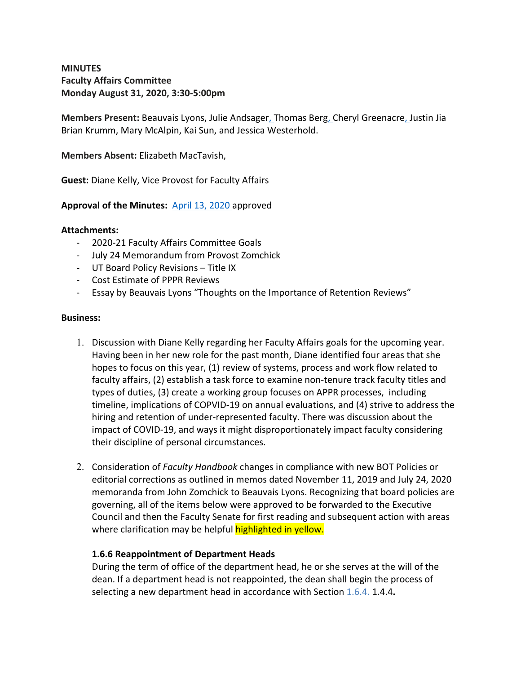## **MINUTES Faculty Affairs Committee Monday August 31, 2020, 3:30-5:00pm**

**Members Present:** Beauvais Lyons, Julie Andsager, Thomas Berg, Cheryl Greenacre, Justin Jia Brian Krumm, Mary McAlpin, Kai Sun, and Jessica Westerhold.

**Members Absent:** Elizabeth MacTavish,

**Guest:** Diane Kelly, Vice Provost for Faculty Affairs

### **Approval of the Minutes:** April 13, 2020 approved

#### **Attachments:**

- 2020-21 Faculty Affairs Committee Goals
- July 24 Memorandum from Provost Zomchick
- UT Board Policy Revisions Title IX
- Cost Estimate of PPPR Reviews
- Essay by Beauvais Lyons "Thoughts on the Importance of Retention Reviews"

#### **Business:**

- 1. Discussion with Diane Kelly regarding her Faculty Affairs goals for the upcoming year. Having been in her new role for the past month, Diane identified four areas that she hopes to focus on this year, (1) review of systems, process and work flow related to faculty affairs, (2) establish a task force to examine non-tenure track faculty titles and types of duties, (3) create a working group focuses on APPR processes, including timeline, implications of COPVID-19 on annual evaluations, and (4) strive to address the hiring and retention of under-represented faculty. There was discussion about the impact of COVID-19, and ways it might disproportionately impact faculty considering their discipline of personal circumstances.
- 2. Consideration of *Faculty Handbook* changes in compliance with new BOT Policies or editorial corrections as outlined in memos dated November 11, 2019 and July 24, 2020 memoranda from John Zomchick to Beauvais Lyons. Recognizing that board policies are governing, all of the items below were approved to be forwarded to the Executive Council and then the Faculty Senate for first reading and subsequent action with areas where clarification may be helpful **highlighted in yellow.**

#### **1.6.6 Reappointment of Department Heads**

During the term of office of the department head, he or she serves at the will of the dean. If a department head is not reappointed, the dean shall begin the process of selecting a new department head in accordance with Section 1.6.4. 1.4.4**.**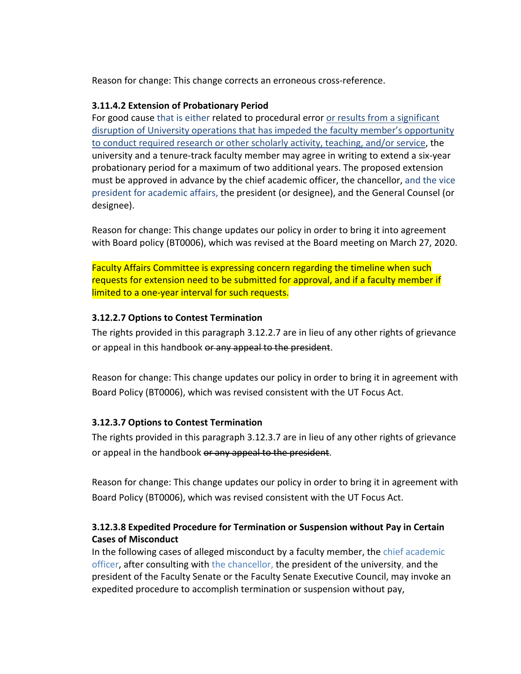Reason for change: This change corrects an erroneous cross-reference.

### **3.11.4.2 Extension of Probationary Period**

For good cause that is either related to procedural error or results from a significant disruption of University operations that has impeded the faculty member's opportunity to conduct required research or other scholarly activity, teaching, and/or service, the university and a tenure-track faculty member may agree in writing to extend a six-year probationary period for a maximum of two additional years. The proposed extension must be approved in advance by the chief academic officer, the chancellor, and the vice president for academic affairs, the president (or designee), and the General Counsel (or designee).

Reason for change: This change updates our policy in order to bring it into agreement with Board policy (BT0006), which was revised at the Board meeting on March 27, 2020.

Faculty Affairs Committee is expressing concern regarding the timeline when such requests for extension need to be submitted for approval, and if a faculty member if limited to a one-year interval for such requests.

## **3.12.2.7 Options to Contest Termination**

The rights provided in this paragraph 3.12.2.7 are in lieu of any other rights of grievance or appeal in this handbook or any appeal to the president.

Reason for change: This change updates our policy in order to bring it in agreement with Board Policy (BT0006), which was revised consistent with the UT Focus Act.

## **3.12.3.7 Options to Contest Termination**

The rights provided in this paragraph 3.12.3.7 are in lieu of any other rights of grievance or appeal in the handbook or any appeal to the president.

Reason for change: This change updates our policy in order to bring it in agreement with Board Policy (BT0006), which was revised consistent with the UT Focus Act.

# **3.12.3.8 Expedited Procedure for Termination or Suspension without Pay in Certain Cases of Misconduct**

In the following cases of alleged misconduct by a faculty member, the chief academic officer, after consulting with the chancellor, the president of the university, and the president of the Faculty Senate or the Faculty Senate Executive Council, may invoke an expedited procedure to accomplish termination or suspension without pay,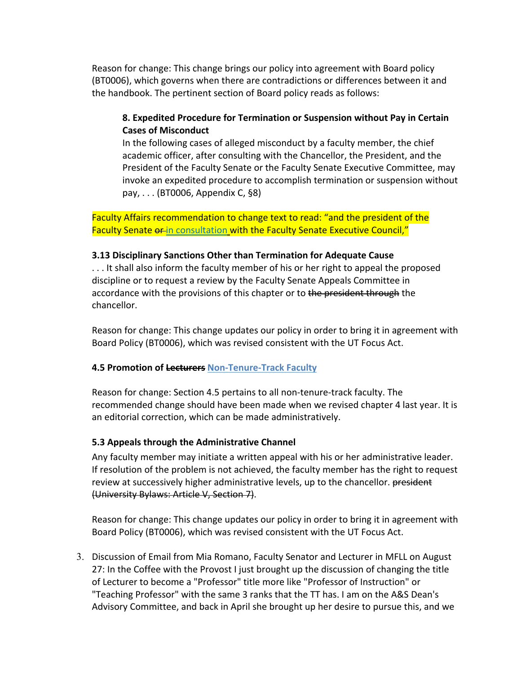Reason for change: This change brings our policy into agreement with Board policy (BT0006), which governs when there are contradictions or differences between it and the handbook. The pertinent section of Board policy reads as follows:

# **8. Expedited Procedure for Termination or Suspension without Pay in Certain Cases of Misconduct**

In the following cases of alleged misconduct by a faculty member, the chief academic officer, after consulting with the Chancellor, the President, and the President of the Faculty Senate or the Faculty Senate Executive Committee, may invoke an expedited procedure to accomplish termination or suspension without pay, . . . (BT0006, Appendix C, §8)

Faculty Affairs recommendation to change text to read: "and the president of the Faculty Senate or in consultation with the Faculty Senate Executive Council,"

### **3.13 Disciplinary Sanctions Other than Termination for Adequate Cause**

. . . It shall also inform the faculty member of his or her right to appeal the proposed discipline or to request a review by the Faculty Senate Appeals Committee in accordance with the provisions of this chapter or to the president through the chancellor.

Reason for change: This change updates our policy in order to bring it in agreement with Board Policy (BT0006), which was revised consistent with the UT Focus Act.

## **4.5 Promotion of Lecturers Non-Tenure-Track Faculty**

Reason for change: Section 4.5 pertains to all non-tenure-track faculty. The recommended change should have been made when we revised chapter 4 last year. It is an editorial correction, which can be made administratively.

## **5.3 Appeals through the Administrative Channel**

Any faculty member may initiate a written appeal with his or her administrative leader. If resolution of the problem is not achieved, the faculty member has the right to request review at successively higher administrative levels, up to the chancellor. president (University Bylaws: Article V, Section 7).

Reason for change: This change updates our policy in order to bring it in agreement with Board Policy (BT0006), which was revised consistent with the UT Focus Act.

3. Discussion of Email from Mia Romano, Faculty Senator and Lecturer in MFLL on August 27: In the Coffee with the Provost I just brought up the discussion of changing the title of Lecturer to become a "Professor" title more like "Professor of Instruction" or "Teaching Professor" with the same 3 ranks that the TT has. I am on the A&S Dean's Advisory Committee, and back in April she brought up her desire to pursue this, and we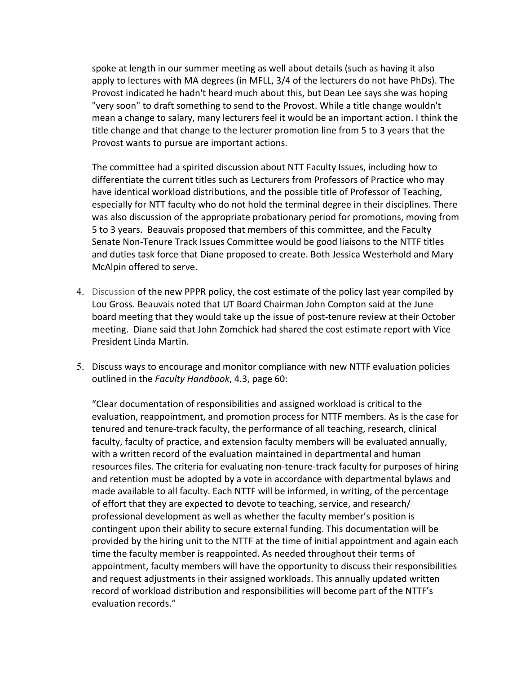spoke at length in our summer meeting as well about details (such as having it also apply to lectures with MA degrees (in MFLL, 3/4 of the lecturers do not have PhDs). The Provost indicated he hadn't heard much about this, but Dean Lee says she was hoping "very soon" to draft something to send to the Provost. While a title change wouldn't mean a change to salary, many lecturers feel it would be an important action. I think the title change and that change to the lecturer promotion line from 5 to 3 years that the Provost wants to pursue are important actions.

The committee had a spirited discussion about NTT Faculty Issues, including how to differentiate the current titles such as Lecturers from Professors of Practice who may have identical workload distributions, and the possible title of Professor of Teaching, especially for NTT faculty who do not hold the terminal degree in their disciplines. There was also discussion of the appropriate probationary period for promotions, moving from 5 to 3 years. Beauvais proposed that members of this committee, and the Faculty Senate Non-Tenure Track Issues Committee would be good liaisons to the NTTF titles and duties task force that Diane proposed to create. Both Jessica Westerhold and Mary McAlpin offered to serve.

- 4. Discussion of the new PPPR policy, the cost estimate of the policy last year compiled by Lou Gross. Beauvais noted that UT Board Chairman John Compton said at the June board meeting that they would take up the issue of post-tenure review at their October meeting. Diane said that John Zomchick had shared the cost estimate report with Vice President Linda Martin.
- 5. Discuss ways to encourage and monitor compliance with new NTTF evaluation policies outlined in the *Faculty Handbook*, 4.3, page 60:

"Clear documentation of responsibilities and assigned workload is critical to the evaluation, reappointment, and promotion process for NTTF members. As is the case for tenured and tenure-track faculty, the performance of all teaching, research, clinical faculty, faculty of practice, and extension faculty members will be evaluated annually, with a written record of the evaluation maintained in departmental and human resources files. The criteria for evaluating non-tenure-track faculty for purposes of hiring and retention must be adopted by a vote in accordance with departmental bylaws and made available to all faculty. Each NTTF will be informed, in writing, of the percentage of effort that they are expected to devote to teaching, service, and research/ professional development as well as whether the faculty member's position is contingent upon their ability to secure external funding. This documentation will be provided by the hiring unit to the NTTF at the time of initial appointment and again each time the faculty member is reappointed. As needed throughout their terms of appointment, faculty members will have the opportunity to discuss their responsibilities and request adjustments in their assigned workloads. This annually updated written record of workload distribution and responsibilities will become part of the NTTF's evaluation records."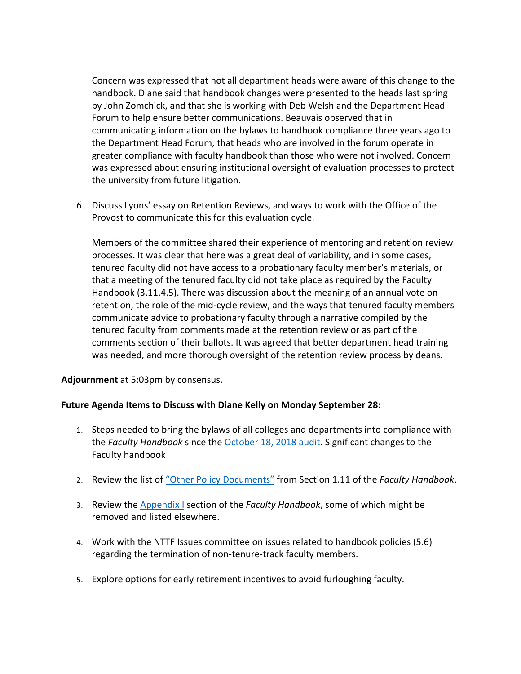Concern was expressed that not all department heads were aware of this change to the handbook. Diane said that handbook changes were presented to the heads last spring by John Zomchick, and that she is working with Deb Welsh and the Department Head Forum to help ensure better communications. Beauvais observed that in communicating information on the bylaws to handbook compliance three years ago to the Department Head Forum, that heads who are involved in the forum operate in greater compliance with faculty handbook than those who were not involved. Concern was expressed about ensuring institutional oversight of evaluation processes to protect the university from future litigation.

6. Discuss Lyons' essay on Retention Reviews, and ways to work with the Office of the Provost to communicate this for this evaluation cycle.

Members of the committee shared their experience of mentoring and retention review processes. It was clear that here was a great deal of variability, and in some cases, tenured faculty did not have access to a probationary faculty member's materials, or that a meeting of the tenured faculty did not take place as required by the Faculty Handbook (3.11.4.5). There was discussion about the meaning of an annual vote on retention, the role of the mid-cycle review, and the ways that tenured faculty members communicate advice to probationary faculty through a narrative compiled by the tenured faculty from comments made at the retention review or as part of the comments section of their ballots. It was agreed that better department head training was needed, and more thorough oversight of the retention review process by deans.

**Adjournment** at 5:03pm by consensus.

## **Future Agenda Items to Discuss with Diane Kelly on Monday September 28:**

- 1. Steps needed to bring the bylaws of all colleges and departments into compliance with the *Faculty Handbook* since the October 18, 2018 audit. Significant changes to the Faculty handbook
- 2. Review the list of "Other Policy Documents" from Section 1.11 of the *Faculty Handbook*.
- 3. Review the Appendix I section of the *Faculty Handbook*, some of which might be removed and listed elsewhere.
- 4. Work with the NTTF Issues committee on issues related to handbook policies (5.6) regarding the termination of non-tenure-track faculty members.
- 5. Explore options for early retirement incentives to avoid furloughing faculty.